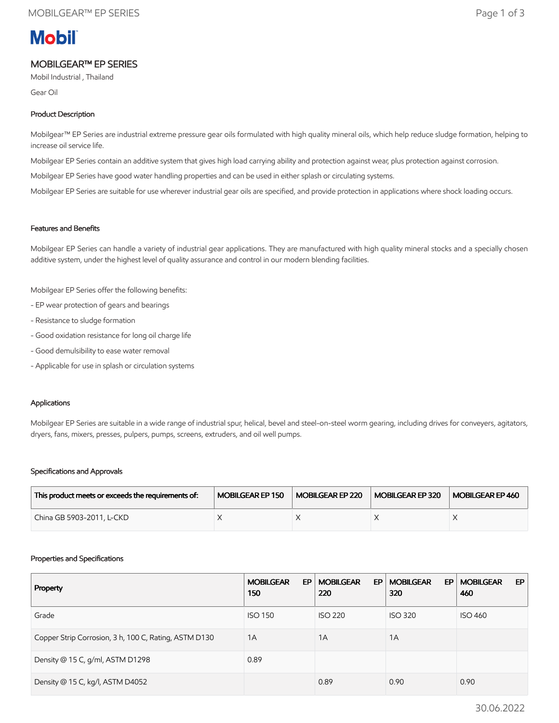# **Mobil**

## MOBILGEAR™ EP SERIES

Mobil Industrial , Thailand

Gear Oil

#### Product Description

Mobilgear™ EP Series are industrial extreme pressure gear oils formulated with high quality mineral oils, which help reduce sludge formation, helping to increase oil service life.

Mobilgear EP Series contain an additive system that gives high load carrying ability and protection against wear, plus protection against corrosion.

Mobilgear EP Series have good water handling properties and can be used in either splash or circulating systems.

Mobilgear EP Series are suitable for use wherever industrial gear oils are specified, and provide protection in applications where shock loading occurs.

#### Features and Benefits

Mobilgear EP Series can handle a variety of industrial gear applications. They are manufactured with high quality mineral stocks and a specially chosen additive system, under the highest level of quality assurance and control in our modern blending facilities.

Mobilgear EP Series offer the following benefits:

- EP wear protection of gears and bearings
- Resistance to sludge formation
- Good oxidation resistance for long oil charge life
- Good demulsibility to ease water removal
- Applicable for use in splash or circulation systems

#### Applications

Mobilgear EP Series are suitable in a wide range of industrial spur, helical, bevel and steel-on-steel worm gearing, including drives for conveyers, agitators, dryers, fans, mixers, presses, pulpers, pumps, screens, extruders, and oil well pumps.

#### Specifications and Approvals

| This product meets or exceeds the requirements of: | MOBILGEAR EP 150 | MOBILGEAR EP 220 | MOBILGEAR EP 320 | MOBILGEAR EP 460 |
|----------------------------------------------------|------------------|------------------|------------------|------------------|
| China GB 5903-2011, L-CKD                          |                  |                  |                  |                  |

#### Properties and Specifications

| Property                                              | <b>MOBILGEAR</b><br>EP<br>150 | <b>MOBILGEAR</b><br>EP.<br>220 | <b>MOBILGEAR</b><br>EP.<br>320 | <b>MOBILGEAR</b><br>EP<br>460 |
|-------------------------------------------------------|-------------------------------|--------------------------------|--------------------------------|-------------------------------|
| Grade                                                 | <b>ISO 150</b>                | <b>ISO 220</b>                 | <b>ISO 320</b>                 | <b>ISO 460</b>                |
| Copper Strip Corrosion, 3 h, 100 C, Rating, ASTM D130 | 1A                            | 1A                             | 1A                             |                               |
| Density @ 15 C, g/ml, ASTM D1298                      | 0.89                          |                                |                                |                               |
| Density @ 15 C, kg/l, ASTM D4052                      |                               | 0.89                           | 0.90                           | 0.90                          |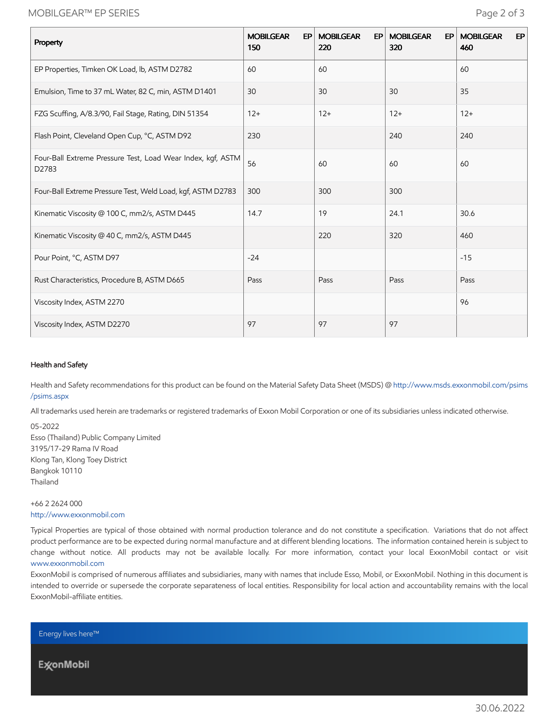## MOBILGEAR™ EP SERIES Page 2 of 3

| Property                                                             | <b>MOBILGEAR</b><br>EP <sup>1</sup><br>150 | <b>MOBILGEAR</b><br>EP<br>220 | <b>MOBILGEAR</b><br>EP<br>320 | EP<br><b>MOBILGEAR</b><br>460 |
|----------------------------------------------------------------------|--------------------------------------------|-------------------------------|-------------------------------|-------------------------------|
| EP Properties, Timken OK Load, lb, ASTM D2782                        | 60                                         | 60                            |                               | 60                            |
| Emulsion, Time to 37 mL Water, 82 C, min, ASTM D1401                 | 30                                         | 30                            | 30                            | 35                            |
| FZG Scuffing, A/8.3/90, Fail Stage, Rating, DIN 51354                | $12+$                                      | $12+$                         | $12+$                         | $12+$                         |
| Flash Point, Cleveland Open Cup, °C, ASTM D92                        | 230                                        |                               | 240                           | 240                           |
| Four-Ball Extreme Pressure Test, Load Wear Index, kgf, ASTM<br>D2783 | 56                                         | 60                            | 60                            | 60                            |
| Four-Ball Extreme Pressure Test, Weld Load, kgf, ASTM D2783          | 300                                        | 300                           | 300                           |                               |
| Kinematic Viscosity @ 100 C, mm2/s, ASTM D445                        | 14.7                                       | 19                            | 24.1                          | 30.6                          |
| Kinematic Viscosity @ 40 C, mm2/s, ASTM D445                         |                                            | 220                           | 320                           | 460                           |
| Pour Point, °C, ASTM D97                                             | $-24$                                      |                               |                               | $-15$                         |
| Rust Characteristics, Procedure B, ASTM D665                         | Pass                                       | Pass                          | Pass                          | Pass                          |
| Viscosity Index, ASTM 2270                                           |                                            |                               |                               | 96                            |
| Viscosity Index, ASTM D2270                                          | 97                                         | 97                            | 97                            |                               |

#### Health and Safety

Health and Safety recommendations for this product can be found on the Material Safety Data Sheet (MSDS) @ [http://www.msds.exxonmobil.com/psims](http://www.msds.exxonmobil.com/psims/psims.aspx) /psims.aspx

All trademarks used herein are trademarks or registered trademarks of Exxon Mobil Corporation or one of its subsidiaries unless indicated otherwise.

05-2022 Esso (Thailand) Public Company Limited 3195/17-29 Rama IV Road Klong Tan, Klong Toey District Bangkok 10110 Thailand

### +66 2 2624 000 [http://www.exxonmobil.com](http://www.exxonmobil.com/)

Typical Properties are typical of those obtained with normal production tolerance and do not constitute a specification. Variations that do not affect product performance are to be expected during normal manufacture and at different blending locations. The information contained herein is subject to change without notice. All products may not be available locally. For more information, contact your local ExxonMobil contact or visit [www.exxonmobil.com](http://www.exxonmobil.com/)

ExxonMobil is comprised of numerous affiliates and subsidiaries, many with names that include Esso, Mobil, or ExxonMobil. Nothing in this document is intended to override or supersede the corporate separateness of local entities. Responsibility for local action and accountability remains with the local ExxonMobil-affiliate entities.

Energy lives here™

**ExconMobil**